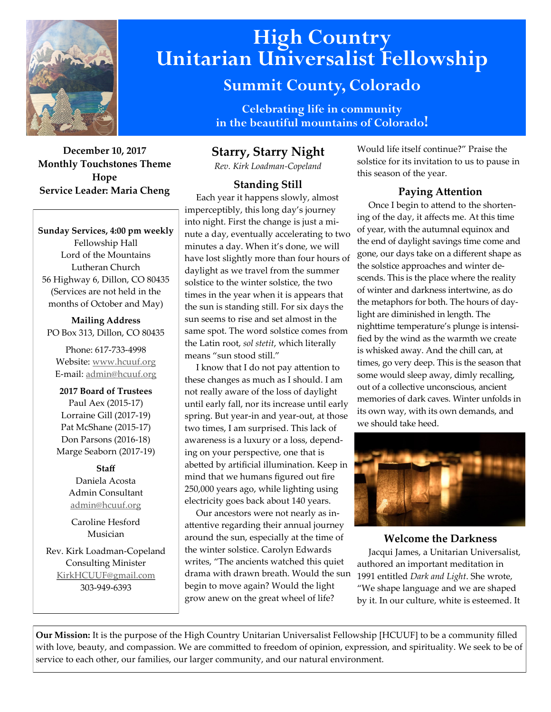

**December 10, 2017 Monthly Touchstones Theme Hope Service Leader: Maria Cheng**

**Sunday Services, 4:00 pm weekly** Fellowship Hall Lord of the Mountains Lutheran Church 56 Highway 6, Dillon, CO 80435 (Services are not held in the months of October and May)

**Mailing Address** PO Box 313, Dillon, CO 80435

Phone: 617-733-4998 Website: [www.hcuuf.org](http://www.hcuuf.org/) E-mail: [admin@hcuuf.org](mailto:admin@hcuuf.org)

**2017 Board of Trustees** Paul Aex (2015-17) Lorraine Gill (2017-19) Pat McShane (2015-17) Don Parsons (2016-18) Marge Seaborn (2017-19)

#### **Staff**

Daniela Acosta Admin Consultant [admin@hcuuf.org](mailto:admin@hcuuf.org)

Caroline Hesford Musician

Rev. Kirk Loadman-Copeland Consulting Minister [KirkHCUUF@gmail.com](mailto:KirkHCUUF@gmail.com) 303-949-6393

# **High Country Unitarian Universalist Fellowship**

# **Summit County, Colorado**

**Celebrating life in community in the beautiful mountains of Colorado!** 

# **Starry, Starry Night**

*Rev. Kirk Loadman-Copeland*

# **Standing Still**

 Each year it happens slowly, almost imperceptibly, this long day's journey into night. First the change is just a minute a day, eventually accelerating to two minutes a day. When it's done, we will have lost slightly more than four hours of daylight as we travel from the summer solstice to the winter solstice, the two times in the year when it is appears that the sun is standing still. For six days the sun seems to rise and set almost in the same spot. The word solstice comes from the Latin root, *sol stetit*, which literally means "sun stood still."

 I know that I do not pay attention to these changes as much as I should. I am not really aware of the loss of daylight until early fall, nor its increase until early spring. But year-in and year-out, at those two times, I am surprised. This lack of awareness is a luxury or a loss, depending on your perspective, one that is abetted by artificial illumination. Keep in mind that we humans figured out fire 250,000 years ago, while lighting using electricity goes back about 140 years.

 Our ancestors were not nearly as inattentive regarding their annual journey around the sun, especially at the time of the winter solstice. Carolyn Edwards writes, "The ancients watched this quiet drama with drawn breath. Would the sun begin to move again? Would the light grow anew on the great wheel of life?

Would life itself continue?" Praise the solstice for its invitation to us to pause in this season of the year.

# **Paying Attention**

 Once I begin to attend to the shortening of the day, it affects me. At this time of year, with the autumnal equinox and the end of daylight savings time come and gone, our days take on a different shape as the solstice approaches and winter descends. This is the place where the reality of winter and darkness intertwine, as do the metaphors for both. The hours of daylight are diminished in length. The nighttime temperature's plunge is intensified by the wind as the warmth we create is whisked away. And the chill can, at times, go very deep. This is the season that some would sleep away, dimly recalling, out of a collective unconscious, ancient memories of dark caves. Winter unfolds in its own way, with its own demands, and we should take heed.



#### **Welcome the Darkness**

 Jacqui James, a Unitarian Universalist, authored an important meditation in 1991 entitled *Dark and Light*. She wrote, "We shape language and we are shaped by it. In our culture, white is esteemed. It

**Our Mission:** It is the purpose of the High Country Unitarian Universalist Fellowship [HCUUF] to be a community filled with love, beauty, and compassion. We are committed to freedom of opinion, expression, and spirituality. We seek to be of service to each other, our families, our larger community, and our natural environment.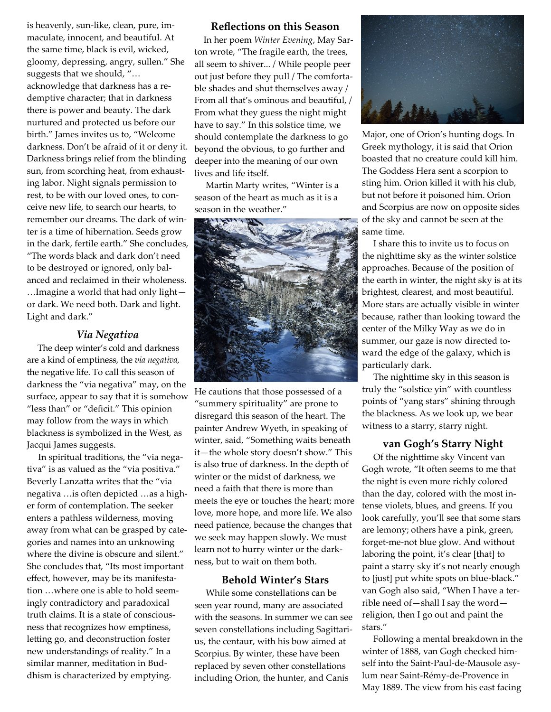is heavenly, sun-like, clean, pure, immaculate, innocent, and beautiful. At the same time, black is evil, wicked, gloomy, depressing, angry, sullen." She suggests that we should, "… acknowledge that darkness has a redemptive character; that in darkness there is power and beauty. The dark nurtured and protected us before our birth." James invites us to, "Welcome darkness. Don't be afraid of it or deny it. Darkness brings relief from the blinding sun, from scorching heat, from exhausting labor. Night signals permission to rest, to be with our loved ones, to conceive new life, to search our hearts, to remember our dreams. The dark of winter is a time of hibernation. Seeds grow in the dark, fertile earth." She concludes, "The words black and dark don't need to be destroyed or ignored, only balanced and reclaimed in their wholeness. …Imagine a world that had only light or dark. We need both. Dark and light. Light and dark."

# *Via Negativa*

 The deep winter's cold and darkness are a kind of emptiness, the *via negativa*, the negative life. To call this season of darkness the "via negativa" may, on the surface, appear to say that it is somehow "less than" or "deficit." This opinion may follow from the ways in which blackness is symbolized in the West, as Jacqui James suggests.

 In spiritual traditions, the "via negativa" is as valued as the "via positiva." Beverly Lanzatta writes that the "via negativa …is often depicted …as a higher form of contemplation. The seeker enters a pathless wilderness, moving away from what can be grasped by categories and names into an unknowing where the divine is obscure and silent." She concludes that, "Its most important effect, however, may be its manifestation …where one is able to hold seemingly contradictory and paradoxical truth claims. It is a state of consciousness that recognizes how emptiness, letting go, and deconstruction foster new understandings of reality." In a similar manner, meditation in Buddhism is characterized by emptying.

#### **Reflections on this Season**

 In her poem *Winter Evening*, May Sarton wrote, "The fragile earth, the trees, all seem to shiver... / While people peer out just before they pull / The comfortable shades and shut themselves away / From all that's ominous and beautiful, / From what they guess the night might have to say." In this solstice time, we should contemplate the darkness to go beyond the obvious, to go further and deeper into the meaning of our own lives and life itself.

 Martin Marty writes, "Winter is a season of the heart as much as it is a season in the weather."



He cautions that those possessed of a "summery spirituality" are prone to disregard this season of the heart. The painter Andrew Wyeth, in speaking of winter, said, "Something waits beneath it—the whole story doesn't show." This is also true of darkness. In the depth of winter or the midst of darkness, we need a faith that there is more than meets the eye or touches the heart; more love, more hope, and more life. We also need patience, because the changes that we seek may happen slowly. We must learn not to hurry winter or the darkness, but to wait on them both.

#### **Behold Winter's Stars**

 While some constellations can be seen year round, many are associated with the seasons. In summer we can see seven constellations including Sagittarius, the centaur, with his bow aimed at Scorpius. By winter, these have been replaced by seven other constellations including Orion, the hunter, and Canis



Major, one of Orion's hunting dogs. In Greek mythology, it is said that Orion boasted that no creature could kill him. The Goddess Hera sent a scorpion to sting him. Orion killed it with his club, but not before it poisoned him. Orion and Scorpius are now on opposite sides of the sky and cannot be seen at the same time.

 I share this to invite us to focus on the nighttime sky as the winter solstice approaches. Because of the position of the earth in winter, the night sky is at its brightest, clearest, and most beautiful. More stars are actually visible in winter because, rather than looking toward the center of the Milky Way as we do in summer, our gaze is now directed toward the edge of the galaxy, which is particularly dark.

 The nighttime sky in this season is truly the "solstice yin" with countless points of "yang stars" shining through the blackness. As we look up, we bear witness to a starry, starry night.

#### **van Gogh's Starry Night**

 Of the nighttime sky Vincent van Gogh wrote, "It often seems to me that the night is even more richly colored than the day, colored with the most intense violets, blues, and greens. If you look carefully, you'll see that some stars are lemony; others have a pink, green, forget-me-not blue glow. And without laboring the point, it's clear [that] to paint a starry sky it's not nearly enough to [just] put white spots on blue-black." van Gogh also said, "When I have a terrible need of—shall I say the word religion, then I go out and paint the stars."

 Following a mental breakdown in the winter of 1888, van Gogh checked himself into the Saint-Paul-de-Mausole asylum near Saint-Rémy-de-Provence in May 1889. The view from his east facing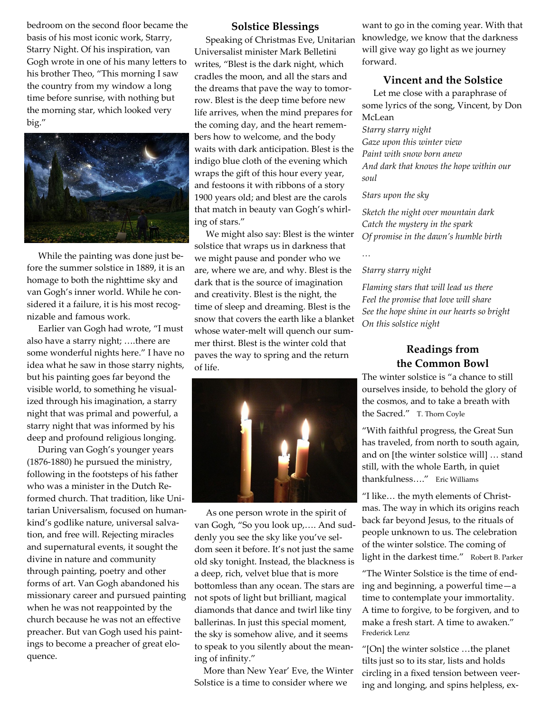bedroom on the second floor became the basis of his most iconic work, Starry, Starry Night. Of his inspiration, van Gogh wrote in one of his many letters to his brother Theo, "This morning I saw the country from my window a long time before sunrise, with nothing but the morning star, which looked very big."



 While the painting was done just before the summer solstice in 1889, it is an homage to both the nighttime sky and van Gogh's inner world. While he considered it a failure, it is his most recognizable and famous work.

 Earlier van Gogh had wrote, "I must also have a starry night; ….there are some wonderful nights here." I have no idea what he saw in those starry nights, but his painting goes far beyond the visible world, to something he visualized through his imagination, a starry night that was primal and powerful, a starry night that was informed by his deep and profound religious longing.

 During van Gogh's younger years (1876-1880) he pursued the ministry, following in the footsteps of his father who was a minister in the Dutch Reformed church. That tradition, like Unitarian Universalism, focused on humankind's godlike nature, universal salvation, and free will. Rejecting miracles and supernatural events, it sought the divine in nature and community through painting, poetry and other forms of art. Van Gogh abandoned his missionary career and pursued painting when he was not reappointed by the church because he was not an effective preacher. But van Gogh used his paintings to become a preacher of great eloquence.

#### **Solstice Blessings**

 Speaking of Christmas Eve, Unitarian Universalist minister Mark Belletini writes, "Blest is the dark night, which cradles the moon, and all the stars and the dreams that pave the way to tomorrow. Blest is the deep time before new life arrives, when the mind prepares for the coming day, and the heart remembers how to welcome, and the body waits with dark anticipation. Blest is the indigo blue cloth of the evening which wraps the gift of this hour every year, and festoons it with ribbons of a story 1900 years old; and blest are the carols that match in beauty van Gogh's whirling of stars."

 We might also say: Blest is the winter solstice that wraps us in darkness that we might pause and ponder who we are, where we are, and why. Blest is the dark that is the source of imagination and creativity. Blest is the night, the time of sleep and dreaming. Blest is the snow that covers the earth like a blanket whose water-melt will quench our summer thirst. Blest is the winter cold that paves the way to spring and the return of life.



 As one person wrote in the spirit of van Gogh, "So you look up,…. And suddenly you see the sky like you've seldom seen it before. It's not just the same old sky tonight. Instead, the blackness is a deep, rich, velvet blue that is more bottomless than any ocean. The stars are not spots of light but brilliant, magical diamonds that dance and twirl like tiny ballerinas. In just this special moment, the sky is somehow alive, and it seems to speak to you silently about the meaning of infinity."

 More than New Year' Eve, the Winter Solstice is a time to consider where we

want to go in the coming year. With that knowledge, we know that the darkness will give way go light as we journey forward.

#### **Vincent and the Solstice**

 Let me close with a paraphrase of some lyrics of the song, Vincent, by Don McLean

*Starry starry night Gaze upon this winter view Paint with snow born anew And dark that knows the hope within our soul*

#### *Stars upon the sky*

*Sketch the night over mountain dark Catch the mystery in the spark Of promise in the dawn's humble birth*

### *…*

#### *Starry starry night*

*Flaming stars that will lead us there Feel the promise that love will share See the hope shine in our hearts so bright On this solstice night*

# **Readings from the Common Bowl**

The winter solstice is "a chance to still ourselves inside, to behold the glory of the cosmos, and to take a breath with the Sacred." T. Thorn Coyle

"With faithful progress, the Great Sun has traveled, from north to south again, and on [the winter solstice will] … stand still, with the whole Earth, in quiet thankfulness…." Eric Williams

"I like… the myth elements of Christmas. The way in which its origins reach back far beyond Jesus, to the rituals of people unknown to us. The celebration of the winter solstice. The coming of light in the darkest time." Robert B. Parker

"The Winter Solstice is the time of ending and beginning, a powerful time—a time to contemplate your immortality. A time to forgive, to be forgiven, and to make a fresh start. A time to awaken." Frederick Lenz

"[On] the winter solstice …the planet tilts just so to its star, lists and holds circling in a fixed tension between veering and longing, and spins helpless, ex